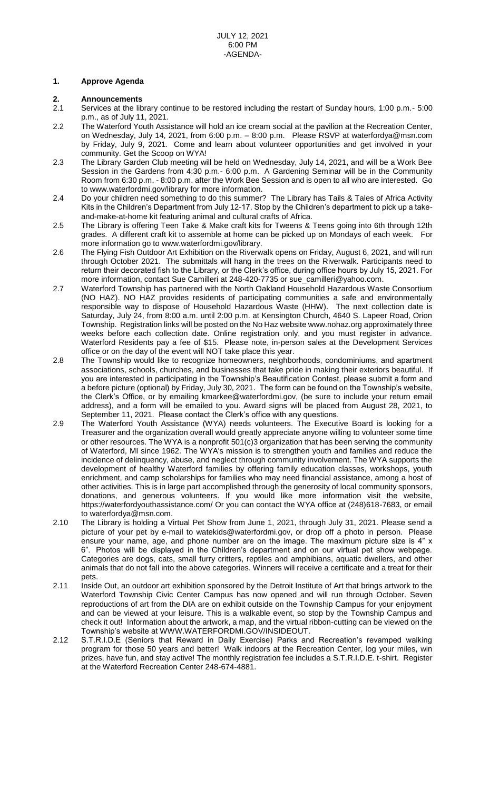# **1. Approve Agenda**

# **2. Announcements**

- 2.1 Services at the library continue to be restored including the restart of Sunday hours, 1:00 p.m.- 5:00 p.m., as of July 11, 2021.
- 2.2 The Waterford Youth Assistance will hold an ice cream social at the pavilion at the Recreation Center, on Wednesday, July 14, 2021, from 6:00 p.m. – 8:00 p.m. Please RSVP at waterfordya@msn.com by Friday, July 9, 2021. Come and learn about volunteer opportunities and get involved in your community. Get the Scoop on WYA!
- 2.3 The Library Garden Club meeting will be held on Wednesday, July 14, 2021, and will be a Work Bee Session in the Gardens from 4:30 p.m.- 6:00 p.m. A Gardening Seminar will be in the Community Room from 6:30 p.m. - 8:00 p.m. after the Work Bee Session and is open to all who are interested. Go to www.waterfordmi.gov/library for more information.
- 2.4 Do your children need something to do this summer? The Library has Tails & Tales of Africa Activity Kits in the Children's Department from July 12-17. Stop by the Children's department to pick up a takeand-make-at-home kit featuring animal and cultural crafts of Africa.
- 2.5 The Library is offering Teen Take & Make craft kits for Tweens & Teens going into 6th through 12th grades. A different craft kit to assemble at home can be picked up on Mondays of each week. For more information go to [www.waterfordmi.gov/library.](http://www.waterfordmi.gov/library)
- 2.6 The Flying Fish Outdoor Art Exhibition on the Riverwalk opens on Friday, August 6, 2021, and will run through October 2021. The submittals will hang in the trees on the Riverwalk. Participants need to return their decorated fish to the Library, or the Clerk's office, during office hours by July 15, 2021. For more information, contact Sue Camilleri at 248-420-7735 or [sue\\_camilleri@yahoo.com.](mailto:sue_camilleri@yahoo.com)
- 2.7 Waterford Township has partnered with the North Oakland Household Hazardous Waste Consortium (NO HAZ). NO HAZ provides residents of participating communities a safe and environmentally responsible way to dispose of Household Hazardous Waste (HHW). The next collection date is Saturday, July 24, from 8:00 a.m. until 2:00 p.m. at Kensington Church, 4640 S. Lapeer Road, Orion Township. Registration links will be posted on the No Haz website www.nohaz.org approximately three weeks before each collection date. Online registration only, and you must register in advance. Waterford Residents pay a fee of \$15. Please note, in-person sales at the Development Services office or on the day of the event will NOT take place this year.
- 2.8 The Township would like to recognize homeowners, neighborhoods, condominiums, and apartment associations, schools, churches, and businesses that take pride in making their exteriors beautiful. If you are interested in participating in the Township's Beautification Contest, please submit a form and a before picture (optional) by Friday, July 30, 2021. The form can be found on the Township's website, the Clerk's Office, or by emailing kmarkee@waterfordmi.gov, (be sure to include your return email address), and a form will be emailed to you. Award signs will be placed from August 28, 2021, to September 11, 2021. Please contact the Clerk's office with any questions.
- 2.9 The Waterford Youth Assistance (WYA) needs volunteers. The Executive Board is looking for a Treasurer and the organization overall would greatly appreciate anyone willing to volunteer some time or other resources. The WYA is a nonprofit 501(c)3 organization that has been serving the community of Waterford, MI since 1962. The WYA's mission is to strengthen youth and families and reduce the incidence of delinquency, abuse, and neglect through community involvement. The WYA supports the development of healthy Waterford families by offering family education classes, workshops, youth enrichment, and camp scholarships for families who may need financial assistance, among a host of other activities. This is in large part accomplished through the generosity of local community sponsors, donations, and generous volunteers. If you would like more information visit the website, https://waterfordyouthassistance.com/ Or you can contact the WYA office at (248)618-7683, or email to [waterfordya@msn.com.](mailto:waterfordya@msn.com)
- 2.10 The Library is holding a Virtual Pet Show from June 1, 2021, through July 31, 2021. Please send a picture of your pet by e-mail to watekids@waterfordmi.gov, or drop off a photo in person. Please ensure your name, age, and phone number are on the image. The maximum picture size is 4" x 6". Photos will be displayed in the Children's department and on our virtual pet show webpage. Categories are dogs, cats, small furry critters, reptiles and amphibians, aquatic dwellers, and other animals that do not fall into the above categories. Winners will receive a certificate and a treat for their pets.
- 2.11 Inside Out, an outdoor art exhibition sponsored by the Detroit Institute of Art that brings artwork to the Waterford Township Civic Center Campus has now opened and will run through October. Seven reproductions of art from the DIA are on exhibit outside on the Township Campus for your enjoyment and can be viewed at your leisure. This is a walkable event, so stop by the Township Campus and check it out! Information about the artwork, a map, and the virtual ribbon-cutting can be viewed on the Township's website at [WWW.WATERFORDMI.GOV/INSIDEOUT.](https://linkprotect.cudasvc.com/url?a=http:%2f%2fwww.waterfordmi.gov%2finsideout&c=E,1,tvhjSqicgnXjJDeeE1wB4u4UV2XTnFVQSHUbsczCjBxDcB0HBNtkQCRHQnCyEp6-Hjw-7PCwplnJN4FY_M9zLsTzzbSjHUP3M70A0F5E2-QDtP0WeJH-&typo=1)
- 2.12 S.T.R.I.D.E (Seniors that Reward in Daily Exercise) Parks and Recreation's revamped walking program for those 50 years and better! Walk indoors at the Recreation Center, log your miles, win prizes, have fun, and stay active! The monthly registration fee includes a S.T.R.I.D.E. t-shirt. Register at the Waterford Recreation Center 248-674-4881.